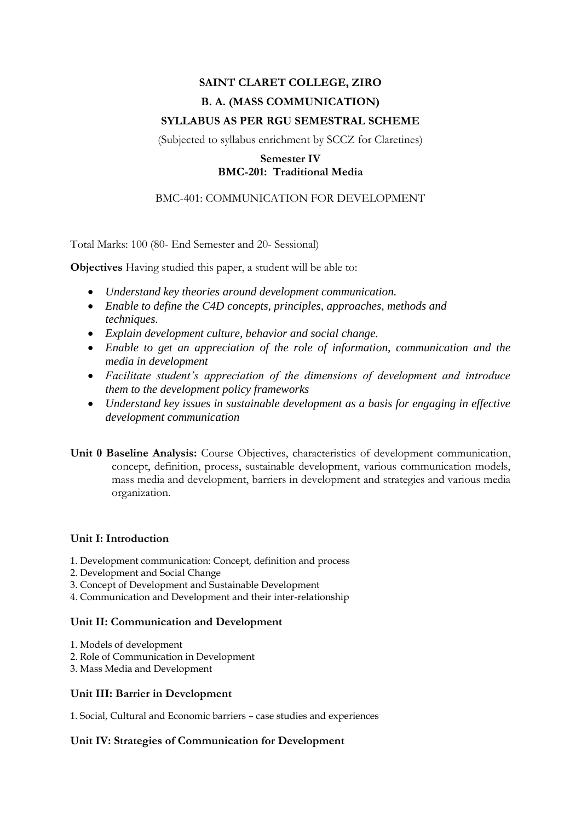# **SAINT CLARET COLLEGE, ZIRO B. A. (MASS COMMUNICATION) SYLLABUS AS PER RGU SEMESTRAL SCHEME**

(Subjected to syllabus enrichment by SCCZ for Claretines)

# **Semester IV BMC-201: Traditional Media**

# BMC-401: COMMUNICATION FOR DEVELOPMENT

Total Marks: 100 (80- End Semester and 20- Sessional)

**Objectives** Having studied this paper, a student will be able to:

- *Understand key theories around development communication.*
- *Enable to define the C4D concepts, principles, approaches, methods and techniques.*
- *Explain development culture, behavior and social change.*
- *Enable to get an appreciation of the role of information, communication and the media in development*
- *Facilitate student's appreciation of the dimensions of development and introduce them to the development policy frameworks*
- *Understand key issues in sustainable development as a basis for engaging in effective development communication*
- **Unit 0 Baseline Analysis:** Course Objectives, characteristics of development communication, concept, definition, process, sustainable development, various communication models, mass media and development, barriers in development and strategies and various media organization.

### **Unit I: Introduction**

- 1. Development communication: Concept, definition and process
- 2. Development and Social Change
- 3. Concept of Development and Sustainable Development
- 4. Communication and Development and their inter-relationship

### **Unit II: Communication and Development**

- 1. Models of development
- 2. Role of Communication in Development
- 3. Mass Media and Development

#### **Unit III: Barrier in Development**

1. Social, Cultural and Economic barriers – case studies and experiences

#### **Unit IV: Strategies of Communication for Development**